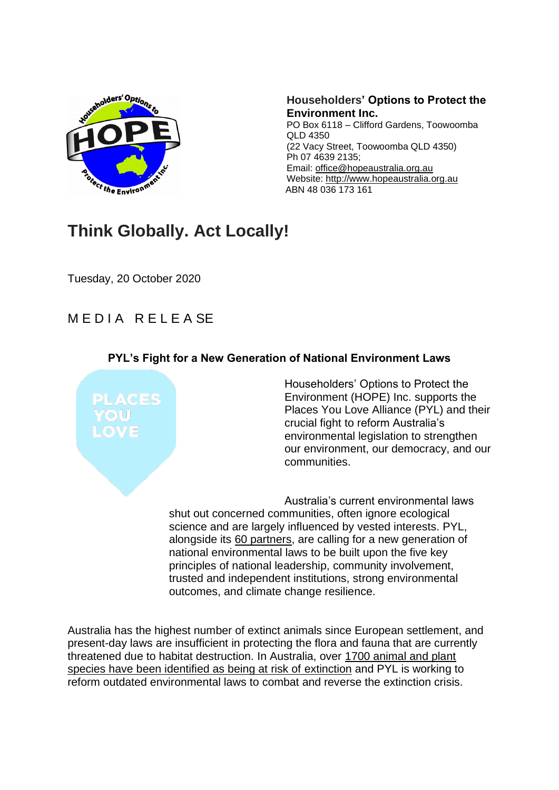

**Householders' Options to Protect the Environment Inc.** PO Box 6118 – Clifford Gardens, Toowoomba QLD 4350 (22 Vacy Street, Toowoomba QLD 4350) Ph 07 4639 2135; Email: [office@hopeaustralia.org.au](mailto:office@hopeaustralia.org.au) Website: [http://www.hopeaustralia.org.au](http://www.hopeaustralia.org.au/) ABN 48 036 173 161

## **Think Globally. Act Locally!**

Tuesday, 20 October 2020

## MEDIA RELEASE

## **PYL's Fight for a New Generation of National Environment Laws**



Householders' Options to Protect the Environment (HOPE) Inc. supports the Places You Love Alliance (PYL) and their crucial fight to reform Australia's environmental legislation to strengthen our environment, our democracy, and our communities.

Australia's current environmental laws shut out concerned communities, often ignore ecological science and are largely influenced by vested interests. PYL, alongside its [60 partners,](http://www.placesyoulove.org/alliance-organisations/) are calling for a new generation of national environmental laws to be built upon the five key principles of national leadership, community involvement, trusted and independent institutions, strong environmental outcomes, and climate change resilience.

Australia has the highest number of extinct animals since European settlement, and present-day laws are insufficient in protecting the flora and fauna that are currently threatened due to habitat destruction. In Australia, over [1700 animal and plant](https://www.environment.gov.au/biodiversity/threatened/species)  [species have been identified as being at risk of](https://www.environment.gov.au/biodiversity/threatened/species) extinction and PYL is working to reform outdated environmental laws to combat and reverse the extinction crisis.